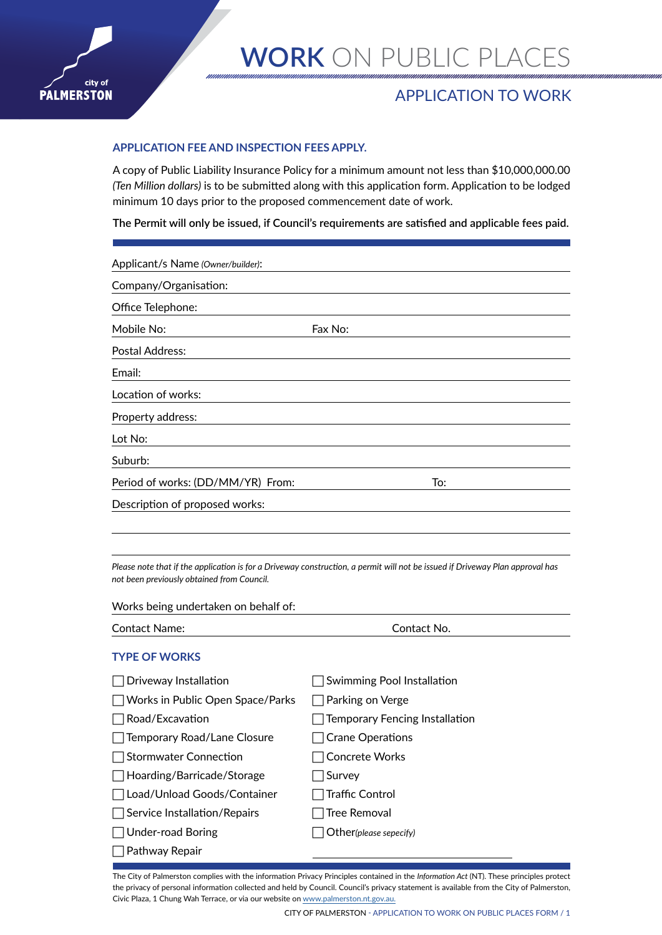

## APPLICATION TO WORK

### **APPLICATION FEE AND INSPECTION FEES APPLY.**

A copy of Public Liability Insurance Policy for a minimum amount not less than \$10,000,000.00 *(Ten Million dollars)* is to be submitted along with this application form. Application to be lodged minimum 10 days prior to the proposed commencement date of work.

**The Permit will only be issued, if Council's requirements are satisfied and applicable fees paid.**

| Applicant/s Name (Owner/builder): |         |     |
|-----------------------------------|---------|-----|
| Company/Organisation:             |         |     |
| Office Telephone:                 |         |     |
| Mobile No:                        | Fax No: |     |
| Postal Address:                   |         |     |
| Email:                            |         |     |
| Location of works:                |         |     |
| Property address:                 |         |     |
| Lot No:                           |         |     |
| Suburb:                           |         |     |
| Period of works: (DD/MM/YR) From: |         | To: |
| Description of proposed works:    |         |     |
|                                   |         |     |

*Please note that if the application is for a Driveway construction, a permit will not be issued if Driveway Plan approval has not been previously obtained from Council.* 

| Works being undertaken on behalf of: |                                |  |
|--------------------------------------|--------------------------------|--|
| <b>Contact Name:</b>                 | Contact No.                    |  |
| <b>TYPE OF WORKS</b>                 |                                |  |
| Driveway Installation                | Swimming Pool Installation     |  |
| Works in Public Open Space/Parks     | Parking on Verge               |  |
| Road/Excavation                      | Temporary Fencing Installation |  |
| Temporary Road/Lane Closure          | Crane Operations               |  |
| <b>Stormwater Connection</b>         | <b>Concrete Works</b>          |  |
| Hoarding/Barricade/Storage           | Survey                         |  |
| Load/Unload Goods/Container          | Traffic Control                |  |
| Service Installation/Repairs         | Tree Removal                   |  |
| Under-road Boring                    | Other(please sepecify)         |  |
| Pathway Repair                       |                                |  |
|                                      |                                |  |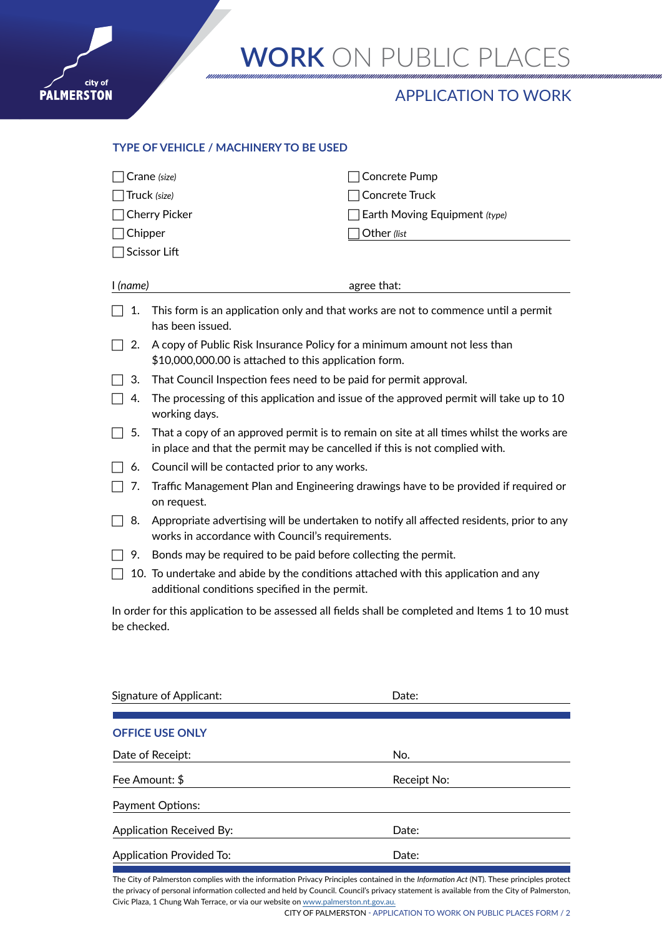

## APPLICATION TO WORK

### **TYPE OF VEHICLE / MACHINERY TO BE USED**

| Chipper  | Crane (size)<br>Truck (size)<br><b>Cherry Picker</b><br>Scissor Lift                                                                                                    | Concrete Pump<br>Concrete Truck<br>Earth Moving Equipment (type)<br>Other (list |  |
|----------|-------------------------------------------------------------------------------------------------------------------------------------------------------------------------|---------------------------------------------------------------------------------|--|
| I (name) |                                                                                                                                                                         | agree that:                                                                     |  |
| 1.       | This form is an application only and that works are not to commence until a permit<br>has been issued.                                                                  |                                                                                 |  |
| 2.       | A copy of Public Risk Insurance Policy for a minimum amount not less than<br>\$10,000,000.00 is attached to this application form.                                      |                                                                                 |  |
| З.       | That Council Inspection fees need to be paid for permit approval.                                                                                                       |                                                                                 |  |
| 4.       | The processing of this application and issue of the approved permit will take up to 10<br>working days.                                                                 |                                                                                 |  |
| 5.       | That a copy of an approved permit is to remain on site at all times whilst the works are<br>in place and that the permit may be cancelled if this is not complied with. |                                                                                 |  |
| 6.       | Council will be contacted prior to any works.                                                                                                                           |                                                                                 |  |
| 7.       | Traffic Management Plan and Engineering drawings have to be provided if required or<br>on request.                                                                      |                                                                                 |  |
| 8.       | Appropriate advertising will be undertaken to notify all affected residents, prior to any<br>works in accordance with Council's requirements.                           |                                                                                 |  |
| 9.       | Bonds may be required to be paid before collecting the permit.                                                                                                          |                                                                                 |  |
|          | 10. To undertake and abide by the conditions attached with this application and any<br>additional conditions specified in the permit.                                   |                                                                                 |  |

In order for this application to be assessed all fields shall be completed and Items 1 to 10 must be checked.

| Signature of Applicant:         | Date:       |
|---------------------------------|-------------|
| <b>OFFICE USE ONLY</b>          |             |
| Date of Receipt:                | No.         |
| Fee Amount: \$                  | Receipt No: |
| Payment Options:                |             |
| <b>Application Received By:</b> | Date:       |
| <b>Application Provided To:</b> | Date:       |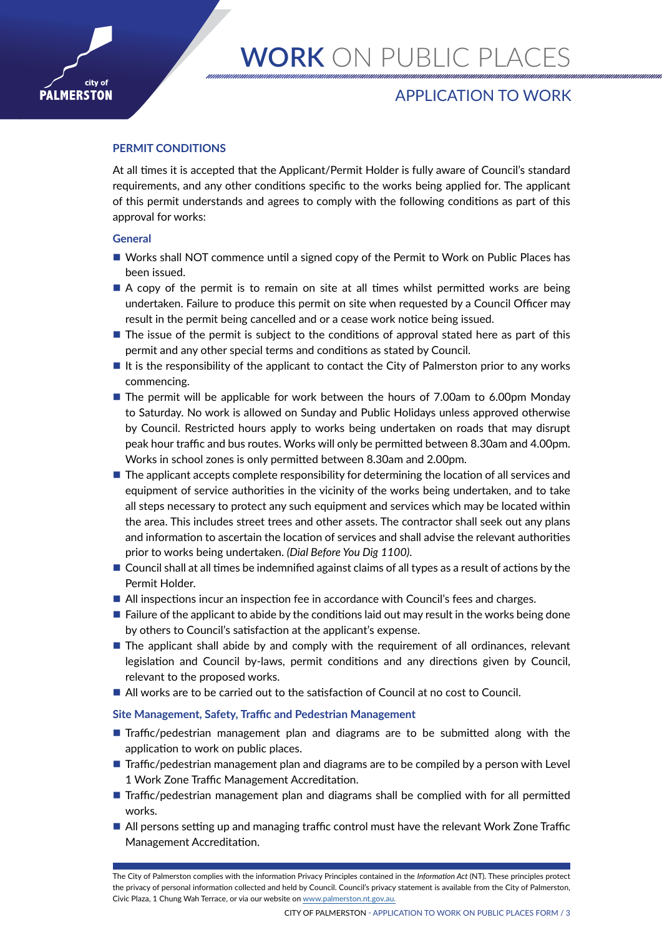

## APPLICATION TO WORK

### **PERMIT CONDITIONS**

At all times it is accepted that the Applicant/Permit Holder is fully aware of Council's standard requirements, and any other conditions specific to the works being applied for. The applicant of this permit understands and agrees to comply with the following conditions as part of this approval for works:

#### **General**

city of

**PALMERSTON** 

- Works shall NOT commence until a signed copy of the Permit to Work on Public Places has been issued.
- A copy of the permit is to remain on site at all times whilst permitted works are being undertaken. Failure to produce this permit on site when requested by a Council Officer may result in the permit being cancelled and or a cease work notice being issued.
- $\blacksquare$  The issue of the permit is subject to the conditions of approval stated here as part of this permit and any other special terms and conditions as stated by Council.
- $\blacksquare$  It is the responsibility of the applicant to contact the City of Palmerston prior to any works commencing.
- The permit will be applicable for work between the hours of 7.00am to 6.00pm Monday to Saturday. No work is allowed on Sunday and Public Holidays unless approved otherwise by Council. Restricted hours apply to works being undertaken on roads that may disrupt peak hour traffic and bus routes. Works will only be permitted between 8.30am and 4.00pm. Works in school zones is only permitted between 8.30am and 2.00pm.
- $\blacksquare$  The applicant accepts complete responsibility for determining the location of all services and equipment of service authorities in the vicinity of the works being undertaken, and to take all steps necessary to protect any such equipment and services which may be located within the area. This includes street trees and other assets. The contractor shall seek out any plans and information to ascertain the location of services and shall advise the relevant authorities prior to works being undertaken. *(Dial Before You Dig 1100)*.
- **Council shall at all times be indemnified against claims of all types as a result of actions by the** Permit Holder.
- All inspections incur an inspection fee in accordance with Council's fees and charges.
- $\blacksquare$  Failure of the applicant to abide by the conditions laid out may result in the works being done by others to Council's satisfaction at the applicant's expense.
- **The applicant shall abide by and comply with the requirement of all ordinances, relevant** legislation and Council by-laws, permit conditions and any directions given by Council, relevant to the proposed works.
- All works are to be carried out to the satisfaction of Council at no cost to Council.

#### **Site Management, Safety, Traffic and Pedestrian Management**

- **Traffic/pedestrian management plan and diagrams are to be submitted along with the** application to work on public places.
- **Traffic/pedestrian management plan and diagrams are to be compiled by a person with Level** 1 Work Zone Traffic Management Accreditation.
- **Traffic/pedestrian management plan and diagrams shall be complied with for all permitted** works.
- All persons setting up and managing traffic control must have the relevant Work Zone Traffic Management Accreditation.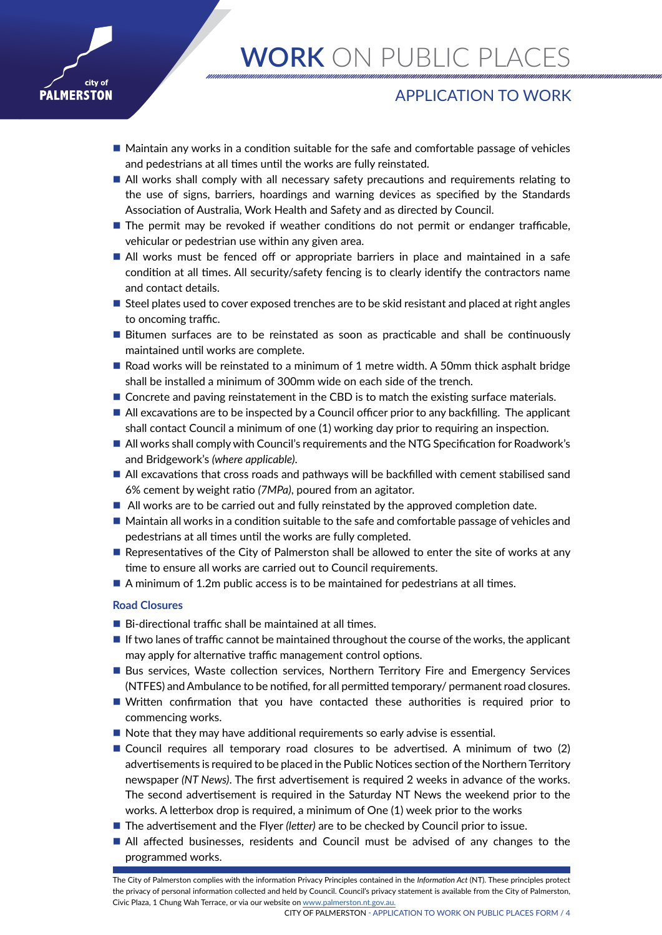

## APPLICATION TO WORK

- $\blacksquare$  Maintain any works in a condition suitable for the safe and comfortable passage of vehicles and pedestrians at all times until the works are fully reinstated.
- All works shall comply with all necessary safety precautions and requirements relating to the use of signs, barriers, hoardings and warning devices as specified by the Standards Association of Australia, Work Health and Safety and as directed by Council.
- The permit may be revoked if weather conditions do not permit or endanger trafficable, vehicular or pedestrian use within any given area.
- All works must be fenced off or appropriate barriers in place and maintained in a safe condition at all times. All security/safety fencing is to clearly identify the contractors name and contact details.
- Steel plates used to cover exposed trenches are to be skid resistant and placed at right angles to oncoming traffic.
- **Bitumen surfaces are to be reinstated as soon as practicable and shall be continuously** maintained until works are complete.
- Road works will be reinstated to a minimum of 1 metre width. A 50mm thick asphalt bridge shall be installed a minimum of 300mm wide on each side of the trench.
- Concrete and paving reinstatement in the CBD is to match the existing surface materials.
- All excavations are to be inspected by a Council officer prior to any backfilling. The applicant shall contact Council a minimum of one (1) working day prior to requiring an inspection.
- All works shall comply with Council's requirements and the NTG Specification for Roadwork's and Bridgework's *(where applicable)*.
- All excavations that cross roads and pathways will be backfilled with cement stabilised sand 6% cement by weight ratio *(7MPa)*, poured from an agitator.
- All works are to be carried out and fully reinstated by the approved completion date.
- Maintain all works in a condition suitable to the safe and comfortable passage of vehicles and pedestrians at all times until the works are fully completed.
- Representatives of the City of Palmerston shall be allowed to enter the site of works at any time to ensure all works are carried out to Council requirements.
- A minimum of 1.2m public access is to be maintained for pedestrians at all times.

### **Road Closures**

- $\blacksquare$  Bi-directional traffic shall be maintained at all times.
- $\blacksquare$  If two lanes of traffic cannot be maintained throughout the course of the works, the applicant may apply for alternative traffic management control options.
- **Bus services, Waste collection services, Northern Territory Fire and Emergency Services** (NTFES) and Ambulance to be notified, for all permitted temporary/ permanent road closures.
- Written confirmation that you have contacted these authorities is required prior to commencing works.
- $\blacksquare$  Note that they may have additional requirements so early advise is essential.
- Council requires all temporary road closures to be advertised. A minimum of two (2) advertisements is required to be placed in the Public Notices section of the Northern Territory newspaper *(NT News)*. The first advertisement is required 2 weeks in advance of the works. The second advertisement is required in the Saturday NT News the weekend prior to the works. A letterbox drop is required, a minimum of One (1) week prior to the works
- The advertisement and the Flyer *(letter)* are to be checked by Council prior to issue.
- All affected businesses, residents and Council must be advised of any changes to the programmed works.